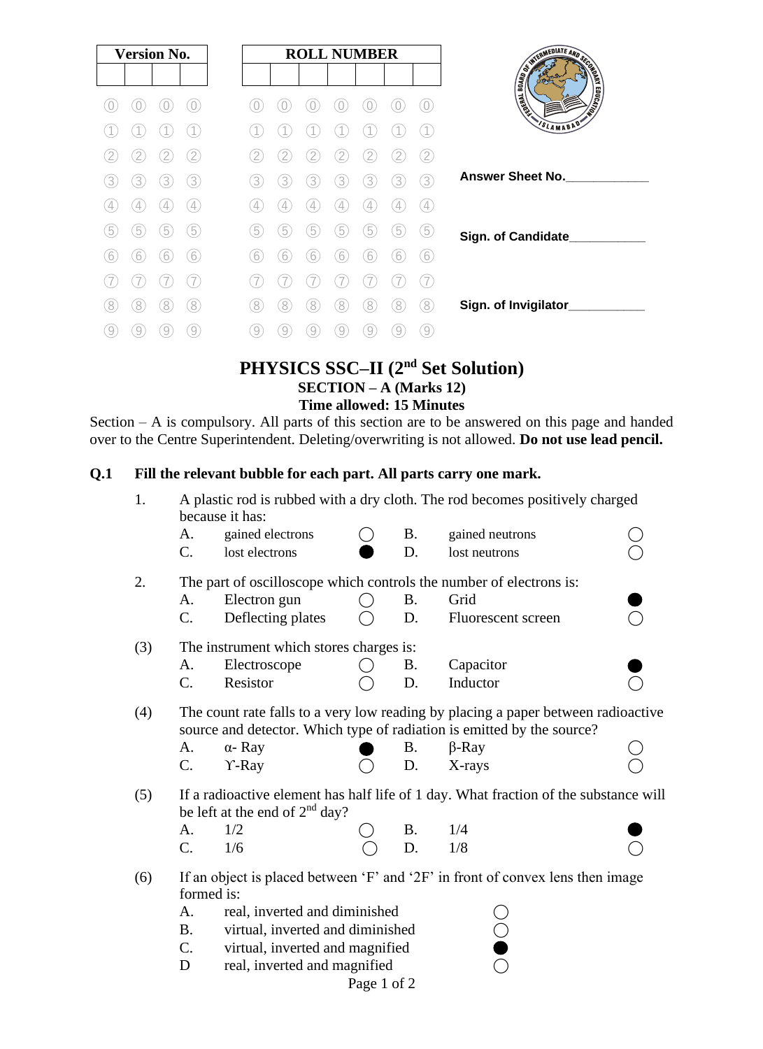| <b>Version No.</b>  | <b>ROLL NUMBER</b>                         |                                    |
|---------------------|--------------------------------------------|------------------------------------|
|                     |                                            | SINTED ATE AND DECKS               |
|                     |                                            | <b>EDUCATION</b><br><b>TENSITY</b> |
|                     |                                            | SLAMABAD'                          |
| 2                   | $\widetilde{2}$                            |                                    |
| 3)<br>3<br>3<br>3   | 3<br>3<br>3<br>3<br>3<br>3<br>3            | <b>Answer Sheet No.</b>            |
| $\overline{4}$<br>4 | $\left( 4\right)$<br>4<br>4<br>4<br>4<br>4 |                                    |
| 5<br>5<br>5<br>5    | 5<br>5<br>5<br>5<br>5<br>5<br>b            | Sign. of Candidate                 |
| 6<br>6<br>6<br>b    | 6<br>6<br>6<br>6<br>6<br>b                 |                                    |
|                     |                                            |                                    |
| 8)<br>8<br>8<br>8   | 8)<br>8<br>8<br>8<br>8<br>8<br>8           | Sign. of Invigilator_              |
| 9<br>9<br>9<br>9    | 9<br><sup>9</sup><br>9<br>9<br>9<br>9<br>9 |                                    |

# **PHYSICS SSC–II (2nd Set Solution) SECTION – A (Marks 12) Time allowed: 15 Minutes**

Section – A is compulsory. All parts of this section are to be answered on this page and handed over to the Centre Superintendent. Deleting/overwriting is not allowed. **Do not use lead pencil.**

## **Q.1 Fill the relevant bubble for each part. All parts carry one mark.**

| 1.  | A plastic rod is rubbed with a dry cloth. The rod becomes positively charged<br>because it has:                                                             |                                                                     |  |           |                    |  |  |
|-----|-------------------------------------------------------------------------------------------------------------------------------------------------------------|---------------------------------------------------------------------|--|-----------|--------------------|--|--|
|     | A.                                                                                                                                                          | gained electrons                                                    |  | <b>B.</b> | gained neutrons    |  |  |
|     | C.                                                                                                                                                          | lost electrons                                                      |  | D.        | lost neutrons      |  |  |
| 2.  |                                                                                                                                                             | The part of oscilloscope which controls the number of electrons is: |  |           |                    |  |  |
|     | A.                                                                                                                                                          | Electron gun                                                        |  | B.        | Grid               |  |  |
|     | C.                                                                                                                                                          | Deflecting plates                                                   |  | D.        | Fluorescent screen |  |  |
| (3) | The instrument which stores charges is:                                                                                                                     |                                                                     |  |           |                    |  |  |
|     | A.                                                                                                                                                          | Electroscope                                                        |  | <b>B.</b> | Capacitor          |  |  |
|     | C.                                                                                                                                                          | Resistor                                                            |  | D.        | Inductor           |  |  |
| (4) | The count rate falls to a very low reading by placing a paper between radioactive<br>source and detector. Which type of radiation is emitted by the source? |                                                                     |  |           |                    |  |  |
|     | A.                                                                                                                                                          | $\alpha$ - Ray                                                      |  | <b>B.</b> | $\beta$ -Ray       |  |  |
|     | $\mathcal{C}$ .                                                                                                                                             | $Y$ -Ray                                                            |  | D.        | X-rays             |  |  |
| (5) | If a radioactive element has half life of 1 day. What fraction of the substance will<br>be left at the end of $2nd$ day?                                    |                                                                     |  |           |                    |  |  |
|     | A.                                                                                                                                                          | 1/2                                                                 |  | <b>B.</b> | 1/4                |  |  |
|     | $C_{\cdot}$                                                                                                                                                 | 1/6                                                                 |  | D.        | 1/8                |  |  |
| (6) | If an object is placed between 'F' and '2F' in front of convex lens then image<br>formed is:                                                                |                                                                     |  |           |                    |  |  |
|     | real, inverted and diminished<br>A.                                                                                                                         |                                                                     |  |           |                    |  |  |
|     | virtual, inverted and diminished<br><b>B.</b>                                                                                                               |                                                                     |  |           |                    |  |  |
|     | $C_{\cdot}$<br>virtual, inverted and magnified                                                                                                              |                                                                     |  |           |                    |  |  |
|     | real, inverted and magnified<br>D                                                                                                                           |                                                                     |  |           |                    |  |  |

Page 1 of 2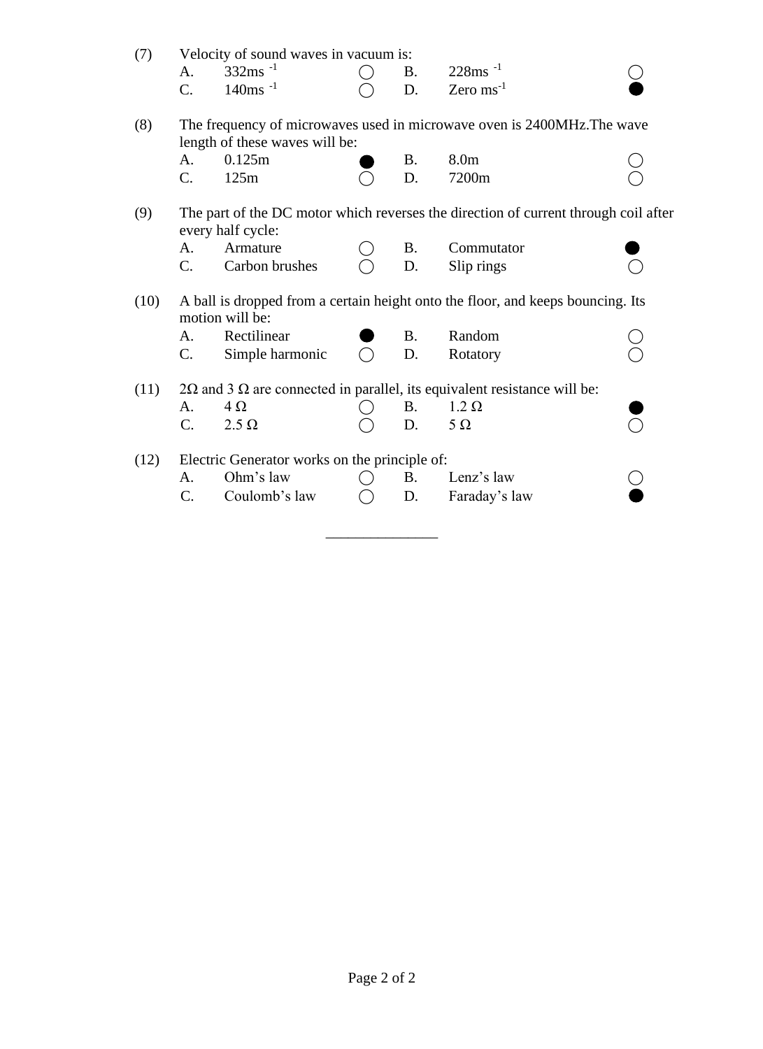| (7)  |                                                                                                           | Velocity of sound waves in vacuum is: |  |           |                       |  |
|------|-----------------------------------------------------------------------------------------------------------|---------------------------------------|--|-----------|-----------------------|--|
|      | A.                                                                                                        | $332 \text{ms}^{-1}$                  |  | <b>B.</b> | $228ms^{-1}$          |  |
|      | C.                                                                                                        | $140$ ms <sup>-1</sup>                |  | D.        | Zero $\text{ms}^{-1}$ |  |
| (8)  | The frequency of microwaves used in microwave oven is 2400MHz. The wave<br>length of these waves will be: |                                       |  |           |                       |  |
|      | A.                                                                                                        | 0.125m                                |  | <b>B.</b> | 8.0 <sub>m</sub>      |  |
|      | $\mathcal{C}$ .                                                                                           | 125m                                  |  | D.        | 7200m                 |  |
| (9)  | The part of the DC motor which reverses the direction of current through coil after<br>every half cycle:  |                                       |  |           |                       |  |
|      | A.                                                                                                        | Armature                              |  | <b>B.</b> | Commutator            |  |
|      | $C_{\cdot}$                                                                                               | Carbon brushes                        |  | D.        | Slip rings            |  |
| (10) | A ball is dropped from a certain height onto the floor, and keeps bouncing. Its<br>motion will be:        |                                       |  |           |                       |  |
|      | A.                                                                                                        | Rectilinear                           |  | <b>B.</b> | Random                |  |
|      | C.                                                                                                        | Simple harmonic                       |  | D.        | Rotatory              |  |
| (11) | $2\Omega$ and 3 $\Omega$ are connected in parallel, its equivalent resistance will be:                    |                                       |  |           |                       |  |
|      | A.                                                                                                        | $4\Omega$                             |  | <b>B.</b> | $1.2 \Omega$          |  |
|      | $\mathcal{C}$ .                                                                                           | $2.5 \Omega$                          |  | D.        | $5\Omega$             |  |
| (12) | Electric Generator works on the principle of:                                                             |                                       |  |           |                       |  |
|      | A.                                                                                                        | Ohm's law                             |  | <b>B.</b> | Lenz's law            |  |
|      | $\mathcal{C}$ .                                                                                           | Coulomb's law                         |  | D.        | Faraday's law         |  |
|      |                                                                                                           |                                       |  |           |                       |  |

 $\_$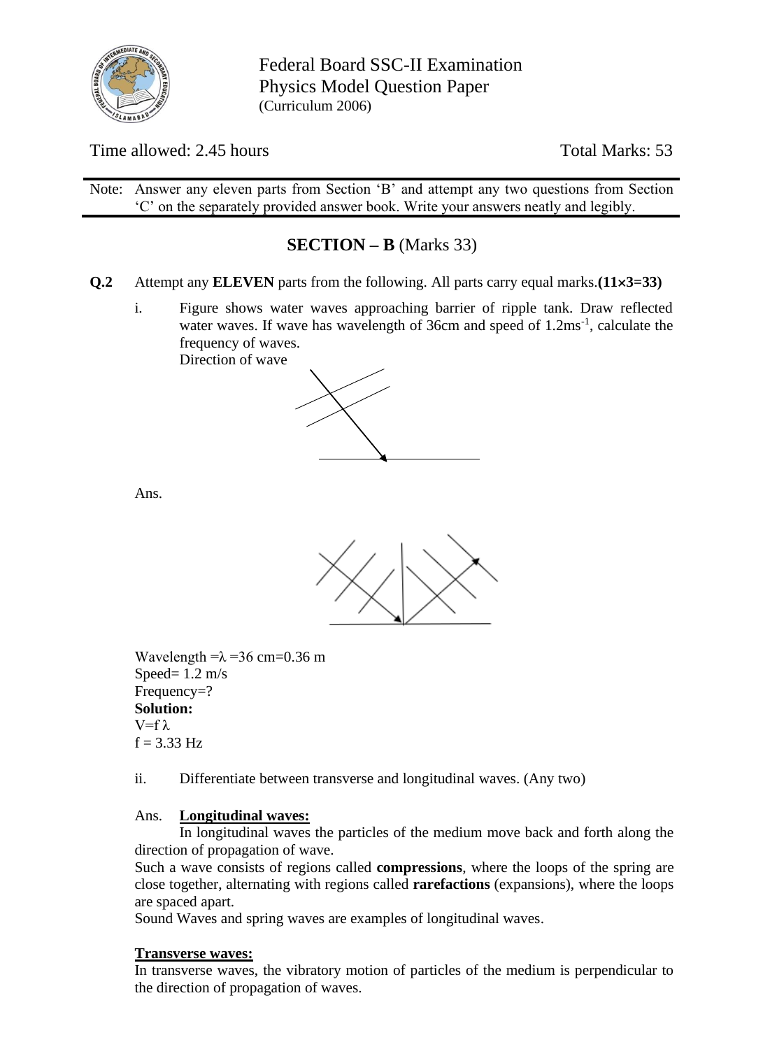

Federal Board SSC-II Examination Physics Model Question Paper (Curriculum 2006)

Time allowed: 2.45 hours Total Marks: 53

Note: Answer any eleven parts from Section 'B' and attempt any two questions from Section 'C' on the separately provided answer book. Write your answers neatly and legibly.

# **SECTION – B** (Marks 33)

- **Q.2** Attempt any **ELEVEN** parts from the following. All parts carry equal marks.**(113=33)**
	- i. Figure shows water waves approaching barrier of ripple tank. Draw reflected water waves. If wave has wavelength of 36cm and speed of 1.2ms<sup>-1</sup>, calculate the frequency of waves. Direction of wave



Ans.



Wavelength  $=\lambda = 36$  cm=0.36 m Speed=  $1.2 \text{ m/s}$ Frequency=? **Solution:** V=fλ  $f = 3.33$  Hz

ii. Differentiate between transverse and longitudinal waves. (Any two)

### Ans. **Longitudinal waves:**

In longitudinal waves the particles of the medium move back and forth along the direction of propagation of wave.

Such a wave consists of regions called **compressions**, where the loops of the spring are close together, alternating with regions called **rarefactions** (expansions), where the loops are spaced apart.

Sound Waves and spring waves are examples of longitudinal waves.

### **Transverse waves:**

In transverse waves, the vibratory motion of particles of the medium is perpendicular to the direction of propagation of waves.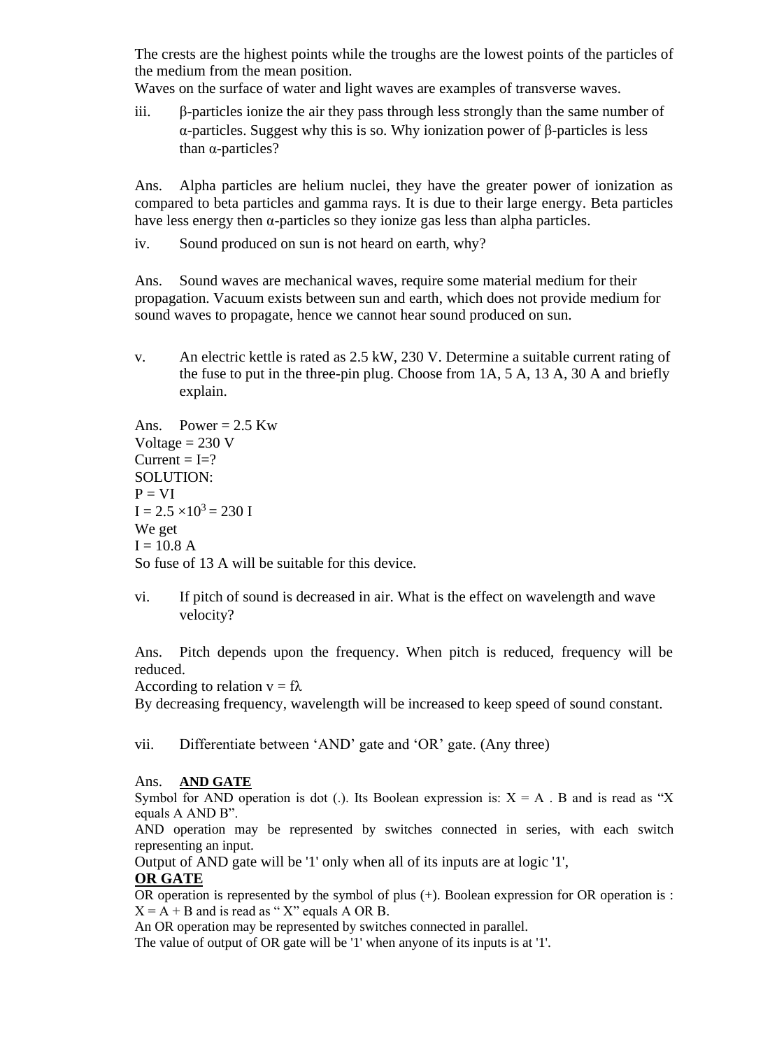The crests are the highest points while the troughs are the lowest points of the particles of the medium from the mean position.

Waves on the surface of water and light waves are examples of transverse waves.

iii. β-particles ionize the air they pass through less strongly than the same number of α-particles. Suggest why this is so. Why ionization power of β-particles is less than α-particles?

Ans. Alpha particles are helium nuclei, they have the greater power of ionization as compared to beta particles and gamma rays. It is due to their large energy. Beta particles have less energy then  $\alpha$ -particles so they ionize gas less than alpha particles.

iv. Sound produced on sun is not heard on earth, why?

Ans. Sound waves are mechanical waves, require some material medium for their propagation. Vacuum exists between sun and earth, which does not provide medium for sound waves to propagate, hence we cannot hear sound produced on sun.

v. An electric kettle is rated as 2.5 kW, 230 V. Determine a suitable current rating of the fuse to put in the three-pin plug. Choose from 1A, 5 A, 13 A, 30 A and briefly explain.

Ans. Power =  $2.5$  Kw Voltage  $= 230$  V  $Current = I = ?$ SOLUTION:  $P = VI$  $I = 2.5 \times 10^3 = 230 I$ We get  $I = 10.8 A$ So fuse of 13 A will be suitable for this device.

vi. If pitch of sound is decreased in air. What is the effect on wavelength and wave velocity?

Ans. Pitch depends upon the frequency. When pitch is reduced, frequency will be reduced.

According to relation  $v = f\lambda$ 

By decreasing frequency, wavelength will be increased to keep speed of sound constant.

vii. Differentiate between 'AND' gate and 'OR' gate. (Any three)

### Ans. **AND GATE**

Symbol for AND operation is dot (.). Its Boolean expression is:  $X = A$ . B and is read as "X" equals A AND B".

AND operation may be represented by switches connected in series, with each switch representing an input.

Output of AND gate will be '1' only when all of its inputs are at logic '1',

### **OR GATE**

OR operation is represented by the symbol of plus (+). Boolean expression for OR operation is :  $X = A + B$  and is read as "X" equals A OR B.

An OR operation may be represented by switches connected in parallel.

The value of output of OR gate will be '1' when anyone of its inputs is at '1'.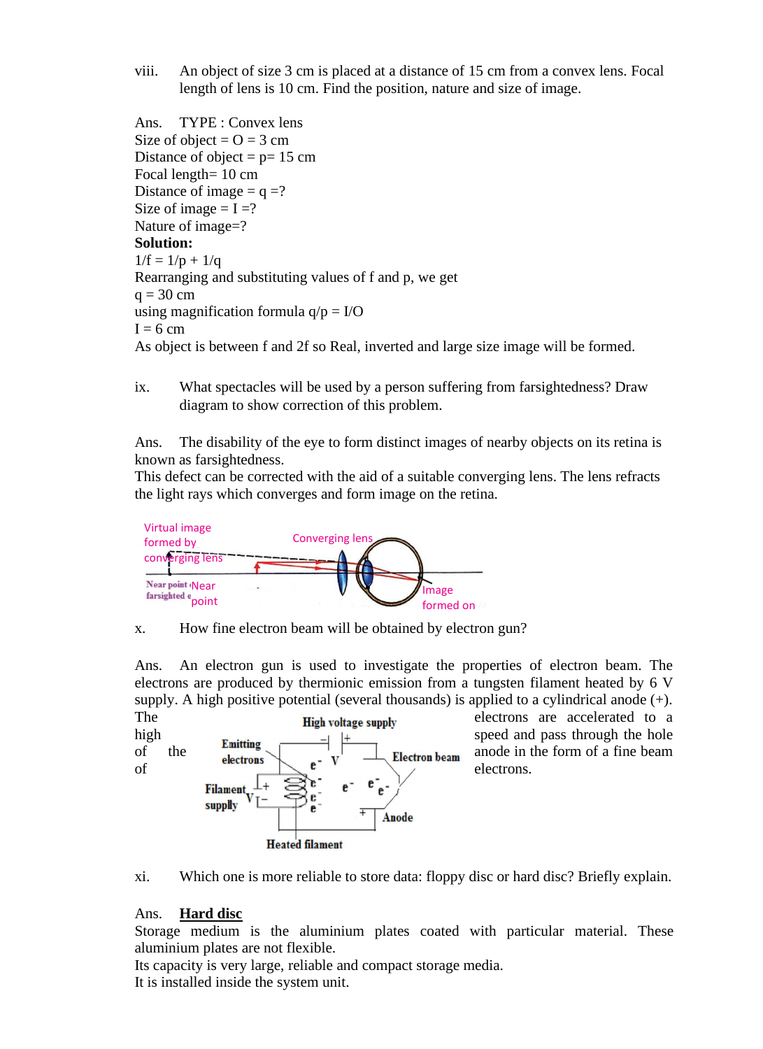viii. An object of size 3 cm is placed at a distance of 15 cm from a convex lens. Focal length of lens is 10 cm. Find the position, nature and size of image.

Ans. TYPE : Convex lens Size of object =  $Q = 3$  cm Distance of object =  $p=15$  cm Focal length= 10 cm Distance of image  $= q = ?$ Size of image  $= I = ?$ Nature of image=? **Solution:**  $1/f = 1/p + 1/q$ Rearranging and substituting values of f and p, we get  $q = 30$  cm using magnification formula  $q/p = I/O$  $I = 6$  cm As object is between f and 2f so Real, inverted and large size image will be formed.

ix. What spectacles will be used by a person suffering from farsightedness? Draw diagram to show correction of this problem.

Ans. The disability of the eye to form distinct images of nearby objects on its retina is known as farsightedness.

This defect can be corrected with the aid of a suitable converging lens. The lens refracts the light rays which converges and form image on the retina.



x. How fine electron beam will be obtained by electron gun? ow fine electron beam will be obtained by e

Ans. An electron gun is used to investigate the properties of electron beam. The electrons are produced by thermionic emission from a tungsten filament heated by  $6 \text{ V}$ supply. A high positive potential (several thousands) is applied to a cylindrical anode (+).





### Ans. **Hard disc**

Storage medium is the aluminium plates coated with particular material. These aluminium plates are not flexible.

Its capacity is very large, reliable and compact storage media. It is installed inside the system unit.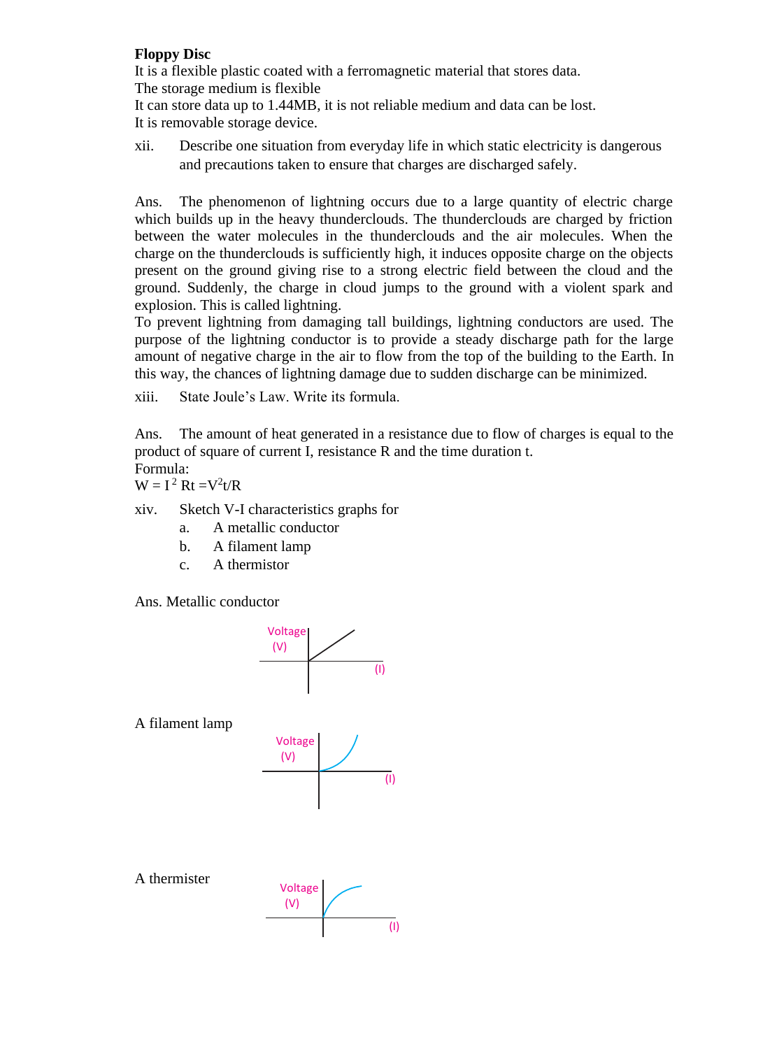### **Floppy Disc**

It is a flexible plastic coated with a ferromagnetic material that stores data. The storage medium is flexible

It can store data up to 1.44MB, it is not reliable medium and data can be lost. It is removable storage device.

xii. Describe one situation from everyday life in which static electricity is dangerous and precautions taken to ensure that charges are discharged safely.

Ans. The phenomenon of lightning occurs due to a large quantity of electric charge which builds up in the heavy thunderclouds. The thunderclouds are charged by friction between the water molecules in the thunderclouds and the air molecules. When the charge on the thunderclouds is sufficiently high, it induces opposite charge on the objects present on the ground giving rise to a strong electric field between the cloud and the ground. Suddenly, the charge in cloud jumps to the ground with a violent spark and explosion. This is called lightning.

To prevent lightning from damaging tall buildings, lightning conductors are used. The purpose of the lightning conductor is to provide a steady discharge path for the large amount of negative charge in the air to flow from the top of the building to the Earth. In this way, the chances of lightning damage due to sudden discharge can be minimized.

xiii. State Joule's Law. Write its formula.

Ans. The amount of heat generated in a resistance due to flow of charges is equal to the product of square of current I, resistance R and the time duration t.

Formula:

 $W = I^2 Rt = V^2t/R$ 

xiv. Sketch V-I characteristics graphs for

- a. A metallic conductor
- b. A filament lamp
- c. A thermistor

Ans. Metallic conductor



A filament lamp



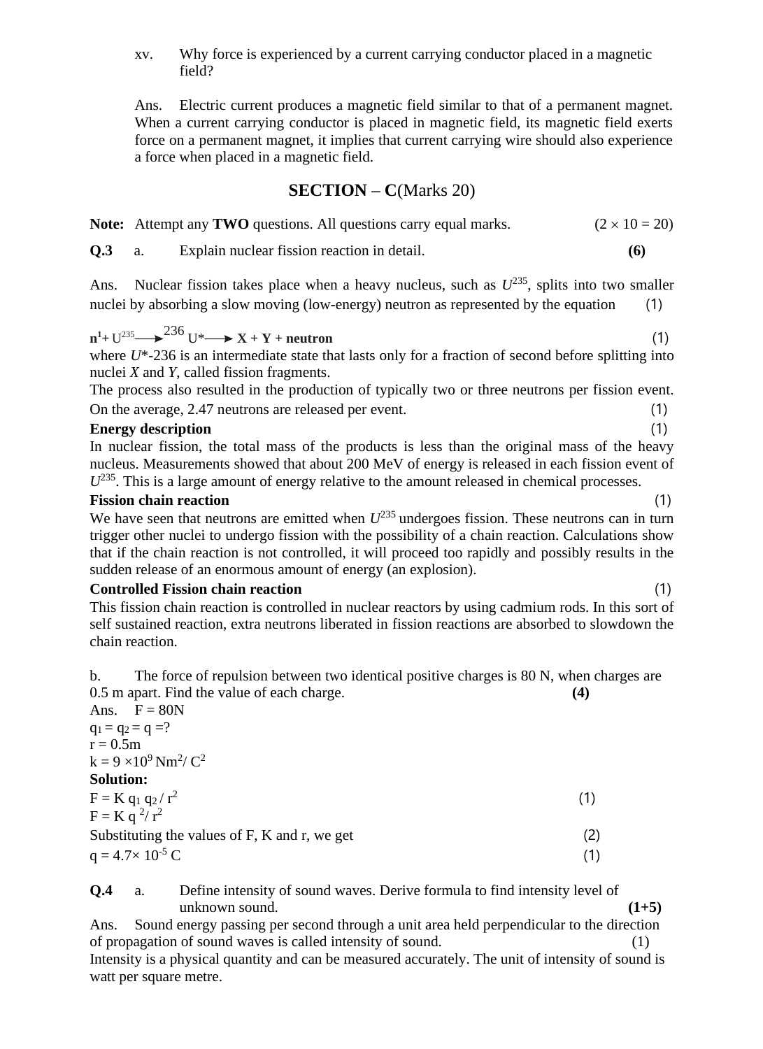xv. Why force is experienced by a current carrying conductor placed in a magnetic field?

Ans. Electric current produces a magnetic field similar to that of a permanent magnet. When a current carrying conductor is placed in magnetic field, its magnetic field exerts force on a permanent magnet, it implies that current carrying wire should also experience a force when placed in a magnetic field.

### **SECTION – C**(Marks 20)

|  | Note: Attempt any TWO questions. All questions carry equal marks. | $(2 \times 10 = 20)$ |
|--|-------------------------------------------------------------------|----------------------|
|--|-------------------------------------------------------------------|----------------------|

**Q.3** a. Explain nuclear fission reaction in detail. **(6)**

Ans. Nuclear fission takes place when a heavy nucleus, such as  $U^{235}$ , splits into two smaller nuclei by absorbing a slow moving (low-energy) neutron as represented by the equation (1)

$$
n^{1} + U^{235} \longrightarrow {}^{236} U^* \longrightarrow X + Y + neutron
$$
 (1)

where *U*\*-236 is an intermediate state that lasts only for a fraction of second before splitting into nuclei *X* and *Y*, called fission fragments.

The process also resulted in the production of typically two or three neutrons per fission event. On the average, 2.47 neutrons are released per event. (1)

### **Energy description** (1)

In nuclear fission, the total mass of the products is less than the original mass of the heavy nucleus. Measurements showed that about 200 MeV of energy is released in each fission event of  $U^{235}$ . This is a large amount of energy relative to the amount released in chemical processes.

### **Fission chain reaction** (1)

We have seen that neutrons are emitted when  $U^{235}$  undergoes fission. These neutrons can in turn trigger other nuclei to undergo fission with the possibility of a chain reaction. Calculations show that if the chain reaction is not controlled, it will proceed too rapidly and possibly results in the sudden release of an enormous amount of energy (an explosion).

### **Controlled Fission chain reaction** (1)

This fission chain reaction is controlled in nuclear reactors by using cadmium rods. In this sort of self sustained reaction, extra neutrons liberated in fission reactions are absorbed to slowdown the chain reaction.

b. The force of repulsion between two identical positive charges is 80 N, when charges are 0.5 m apart. Find the value of each charge. **(4)**

| Ans. $F = 80N$                                       |     |
|------------------------------------------------------|-----|
| $q_1 = q_2 = q = ?$                                  |     |
| $r = 0.5m$                                           |     |
| $k = 9 \times 10^9$ Nm <sup>2</sup> / C <sup>2</sup> |     |
| <b>Solution:</b>                                     |     |
| $F = K q_1 q_2 / r^2$                                | (1) |
| $F = K q^2/r^2$                                      |     |
| Substituting the values of F, K and r, we get        | (2) |
| $q = 4.7 \times 10^{-5}$ C                           | (1) |
|                                                      |     |

**Q.4** a. Define intensity of sound waves. Derive formula to find intensity level of

unknown sound.  $(1+5)$ Ans. Sound energy passing per second through a unit area held perpendicular to the direction of propagation of sound waves is called intensity of sound. Intensity is a physical quantity and can be measured accurately. The unit of intensity of sound is watt per square metre.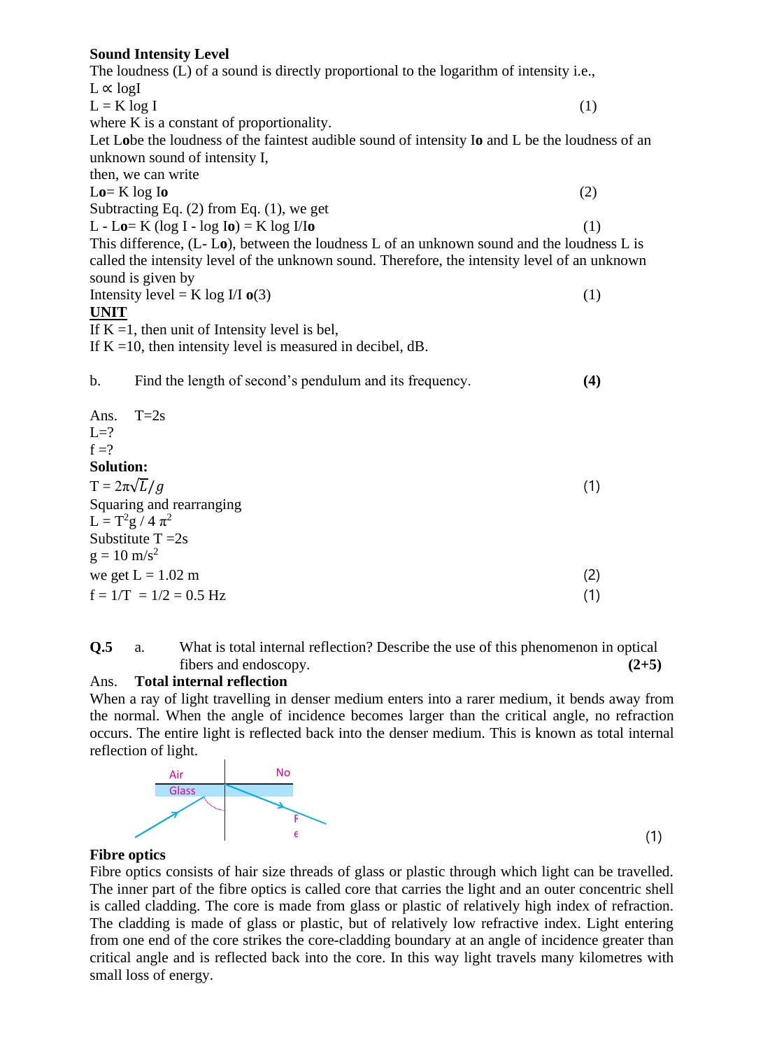### **Sound Intensity Level**

| <b>Sound Intensity Level</b>                                                                    |     |
|-------------------------------------------------------------------------------------------------|-----|
| The loudness (L) of a sound is directly proportional to the logarithm of intensity i.e.,        |     |
| $L \propto$ logI                                                                                |     |
| (1)<br>$L = K \log I$                                                                           |     |
| where K is a constant of proportionality.                                                       |     |
| Let Lobe the loudness of the faintest audible sound of intensity Io and L be the loudness of an |     |
| unknown sound of intensity I,                                                                   |     |
| then, we can write                                                                              |     |
| $Lo=K \log I$<br>(2)                                                                            |     |
| Subtracting Eq. $(2)$ from Eq. $(1)$ , we get                                                   |     |
| $L - Lo = K (log I - log Io) = K log I/Io$                                                      | (1) |
| This difference, (L-Lo), between the loudness L of an unknown sound and the loudness L is       |     |
| called the intensity level of the unknown sound. Therefore, the intensity level of an unknown   |     |
| sound is given by                                                                               |     |
| Intensity level = K log I/I $o(3)$                                                              | (1) |
| <b>UNIT</b>                                                                                     |     |
| If $K = 1$ , then unit of Intensity level is bel,                                               |     |
| If $K = 10$ , then intensity level is measured in decibel, dB.                                  |     |
| $\mathbf b$ .<br>Find the length of second's pendulum and its frequency.                        | (4) |
| $T=2s$<br>Ans.                                                                                  |     |
| $L=?$                                                                                           |     |
| $f = ?$                                                                                         |     |
| <b>Solution:</b>                                                                                |     |
| $T = 2\pi\sqrt{L/g}$                                                                            | (1) |
| Squaring and rearranging                                                                        |     |
| $L = T^2g / 4 \pi^2$                                                                            |     |
| Substitute $T = 2s$                                                                             |     |
| $g = 10 \text{ m/s}^2$                                                                          |     |
| we get $L = 1.02$ m                                                                             | (2) |
| $f = 1/T = 1/2 = 0.5 Hz$                                                                        | (1) |

**Q.5** a. What is total internal reflection? Describe the use of this phenomenon in optical fibers and endoscopy. **(2+5)**

### Ans. **Total internal reflection**

When a ray of light travelling in denser medium enters into a rarer medium, it bends away from the normal. When the angle of incidence becomes larger than the critical angle, no refraction occurs. The entire light is reflected back into the denser medium. This is known as total internal reflection of light.



(1)

### **Fibre optics**

Fibre optics consists of hair size threads of glass or plastic through which light can be travelled. The inner part of the fibre optics is called core that carries the light and an outer concentric shell is called cladding. The core is made from glass or plastic of relatively high index of refraction. The cladding is made of glass or plastic, but of relatively low refractive index. Light entering from one end of the core strikes the core-cladding boundary at an angle of incidence greater than critical angle and is reflected back into the core. In this way light travels many kilometres with small loss of energy. sists of hair size the made of glass or c <sup>l</sup>